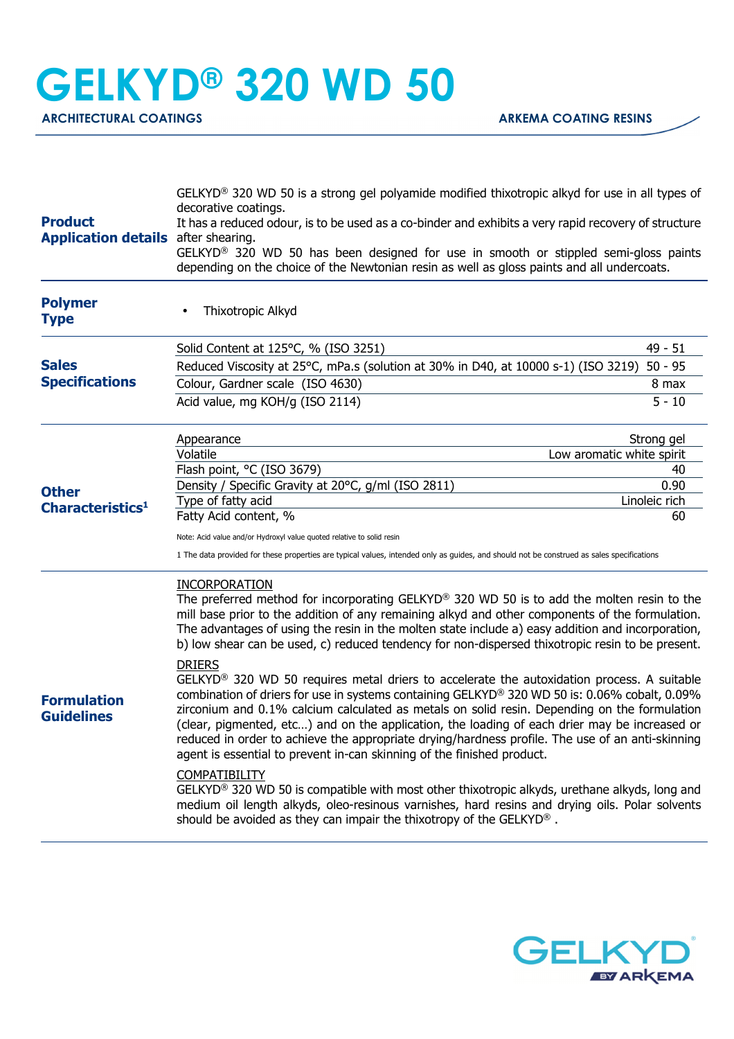## **GELKYD® 320 WD 50**

ARCHITECTURAL COATINGS **ARKEMA COATING RESINS** 

| <b>Product</b><br><b>Application details</b> after shearing. | GELKYD <sup>®</sup> 320 WD 50 is a strong gel polyamide modified thixotropic alkyd for use in all types of<br>decorative coatings.<br>It has a reduced odour, is to be used as a co-binder and exhibits a very rapid recovery of structure<br>GELKYD <sup>®</sup> 320 WD 50 has been designed for use in smooth or stippled semi-gloss paints<br>depending on the choice of the Newtonian resin as well as gloss paints and all undercoats.                                                                                                                                                             |                           |
|--------------------------------------------------------------|---------------------------------------------------------------------------------------------------------------------------------------------------------------------------------------------------------------------------------------------------------------------------------------------------------------------------------------------------------------------------------------------------------------------------------------------------------------------------------------------------------------------------------------------------------------------------------------------------------|---------------------------|
| <b>Polymer</b><br><b>Type</b>                                | Thixotropic Alkyd<br>$\bullet$                                                                                                                                                                                                                                                                                                                                                                                                                                                                                                                                                                          |                           |
| <b>Sales</b><br><b>Specifications</b>                        | Solid Content at 125°C, % (ISO 3251)                                                                                                                                                                                                                                                                                                                                                                                                                                                                                                                                                                    | $49 - 51$                 |
|                                                              | Reduced Viscosity at 25°C, mPa.s (solution at 30% in D40, at 10000 s-1) (ISO 3219)<br>$50 - 95$                                                                                                                                                                                                                                                                                                                                                                                                                                                                                                         |                           |
|                                                              | Colour, Gardner scale (ISO 4630)                                                                                                                                                                                                                                                                                                                                                                                                                                                                                                                                                                        | 8 max                     |
|                                                              | Acid value, mg KOH/g (ISO 2114)                                                                                                                                                                                                                                                                                                                                                                                                                                                                                                                                                                         | $5 - 10$                  |
|                                                              | Appearance                                                                                                                                                                                                                                                                                                                                                                                                                                                                                                                                                                                              | Strong gel                |
|                                                              | Volatile                                                                                                                                                                                                                                                                                                                                                                                                                                                                                                                                                                                                | Low aromatic white spirit |
|                                                              | Flash point, °C (ISO 3679)<br>Density / Specific Gravity at 20°C, g/ml (ISO 2811)                                                                                                                                                                                                                                                                                                                                                                                                                                                                                                                       | 40<br>0.90                |
| <b>Other</b>                                                 | Type of fatty acid                                                                                                                                                                                                                                                                                                                                                                                                                                                                                                                                                                                      | Linoleic rich             |
| Characteristics <sup>1</sup>                                 | Fatty Acid content, %                                                                                                                                                                                                                                                                                                                                                                                                                                                                                                                                                                                   | 60                        |
|                                                              | Note: Acid value and/or Hydroxyl value quoted relative to solid resin                                                                                                                                                                                                                                                                                                                                                                                                                                                                                                                                   |                           |
|                                                              | 1 The data provided for these properties are typical values, intended only as guides, and should not be construed as sales specifications                                                                                                                                                                                                                                                                                                                                                                                                                                                               |                           |
| <b>Formulation</b><br><b>Guidelines</b>                      | <b>INCORPORATION</b><br>The preferred method for incorporating GELKYD <sup>®</sup> 320 WD 50 is to add the molten resin to the<br>mill base prior to the addition of any remaining alkyd and other components of the formulation.<br>The advantages of using the resin in the molten state include a) easy addition and incorporation,<br>b) low shear can be used, c) reduced tendency for non-dispersed thixotropic resin to be present.                                                                                                                                                              |                           |
|                                                              | <b>DRIERS</b><br>GELKYD <sup>®</sup> 320 WD 50 requires metal driers to accelerate the autoxidation process. A suitable<br>combination of driers for use in systems containing GELKYD® 320 WD 50 is: 0.06% cobalt, 0.09%<br>zirconium and 0.1% calcium calculated as metals on solid resin. Depending on the formulation<br>(clear, pigmented, etc) and on the application, the loading of each drier may be increased or<br>reduced in order to achieve the appropriate drying/hardness profile. The use of an anti-skinning<br>agent is essential to prevent in-can skinning of the finished product. |                           |
|                                                              | <b>COMPATIBILITY</b><br>GELKYD <sup>®</sup> 320 WD 50 is compatible with most other thixotropic alkyds, urethane alkyds, long and<br>medium oil length alkyds, oleo-resinous varnishes, hard resins and drying oils. Polar solvents<br>should be avoided as they can impair the thixotropy of the GELKYD®.                                                                                                                                                                                                                                                                                              |                           |